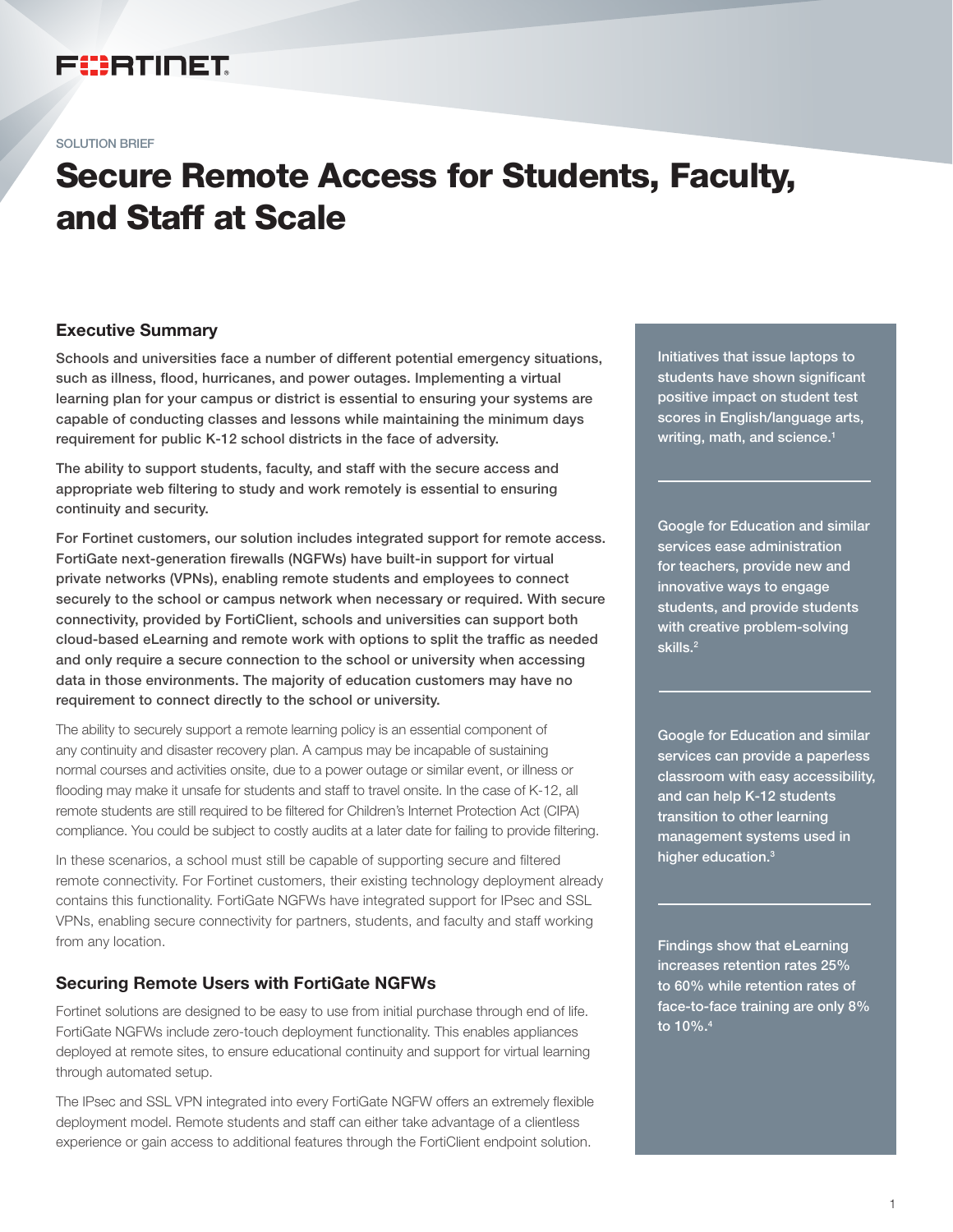# FEERTINET

SOLUTION BRIEF

# Secure Remote Access for Students, Faculty, and Staff at Scale

# Executive Summary

Schools and universities face a number of different potential emergency situations, such as illness, flood, hurricanes, and power outages. Implementing a virtual learning plan for your campus or district is essential to ensuring your systems are capable of conducting classes and lessons while maintaining the minimum days requirement for public K-12 school districts in the face of adversity.

The ability to support students, faculty, and staff with the secure access and appropriate web filtering to study and work remotely is essential to ensuring continuity and security.

For Fortinet customers, our solution includes integrated support for remote access. FortiGate next-generation firewalls (NGFWs) have built-in support for virtual private networks (VPNs), enabling remote students and employees to connect securely to the school or campus network when necessary or required. With secure connectivity, provided by FortiClient, schools and universities can support both cloud-based eLearning and remote work with options to split the traffic as needed and only require a secure connection to the school or university when accessing data in those environments. The majority of education customers may have no requirement to connect directly to the school or university.

The ability to securely support a remote learning policy is an essential component of any continuity and disaster recovery plan. A campus may be incapable of sustaining normal courses and activities onsite, due to a power outage or similar event, or illness or flooding may make it unsafe for students and staff to travel onsite. In the case of K-12, all remote students are still required to be filtered for Children's Internet Protection Act (CIPA) compliance. You could be subject to costly audits at a later date for failing to provide filtering.

In these scenarios, a school must still be capable of supporting secure and filtered remote connectivity. For Fortinet customers, their existing technology deployment already contains this functionality. FortiGate NGFWs have integrated support for IPsec and SSL VPNs, enabling secure connectivity for partners, students, and faculty and staff working from any location.

# Securing Remote Users with FortiGate NGFWs

Fortinet solutions are designed to be easy to use from initial purchase through end of life. FortiGate NGFWs include zero-touch deployment functionality. This enables appliances deployed at remote sites, to ensure educational continuity and support for virtual learning through automated setup.

The IPsec and SSL VPN integrated into every FortiGate NGFW offers an extremely flexible deployment model. Remote students and staff can either take advantage of a clientless experience or gain access to additional features through the FortiClient endpoint solution.

Initiatives that issue laptops to students have shown significant positive impact on student test scores in English/language arts, writing, math, and science. $1$ 

Google for Education and similar services ease administration for teachers, provide new and innovative ways to engage students, and provide students with creative problem-solving skills.<sup>2</sup>

Google for Education and similar services can provide a paperless classroom with easy accessibility, and can help K-12 students transition to other learning management systems used in higher education.3

Findings show that eLearning increases retention rates 25% to 60% while retention rates of face-to-face training are only 8% to 10%. $^4\,$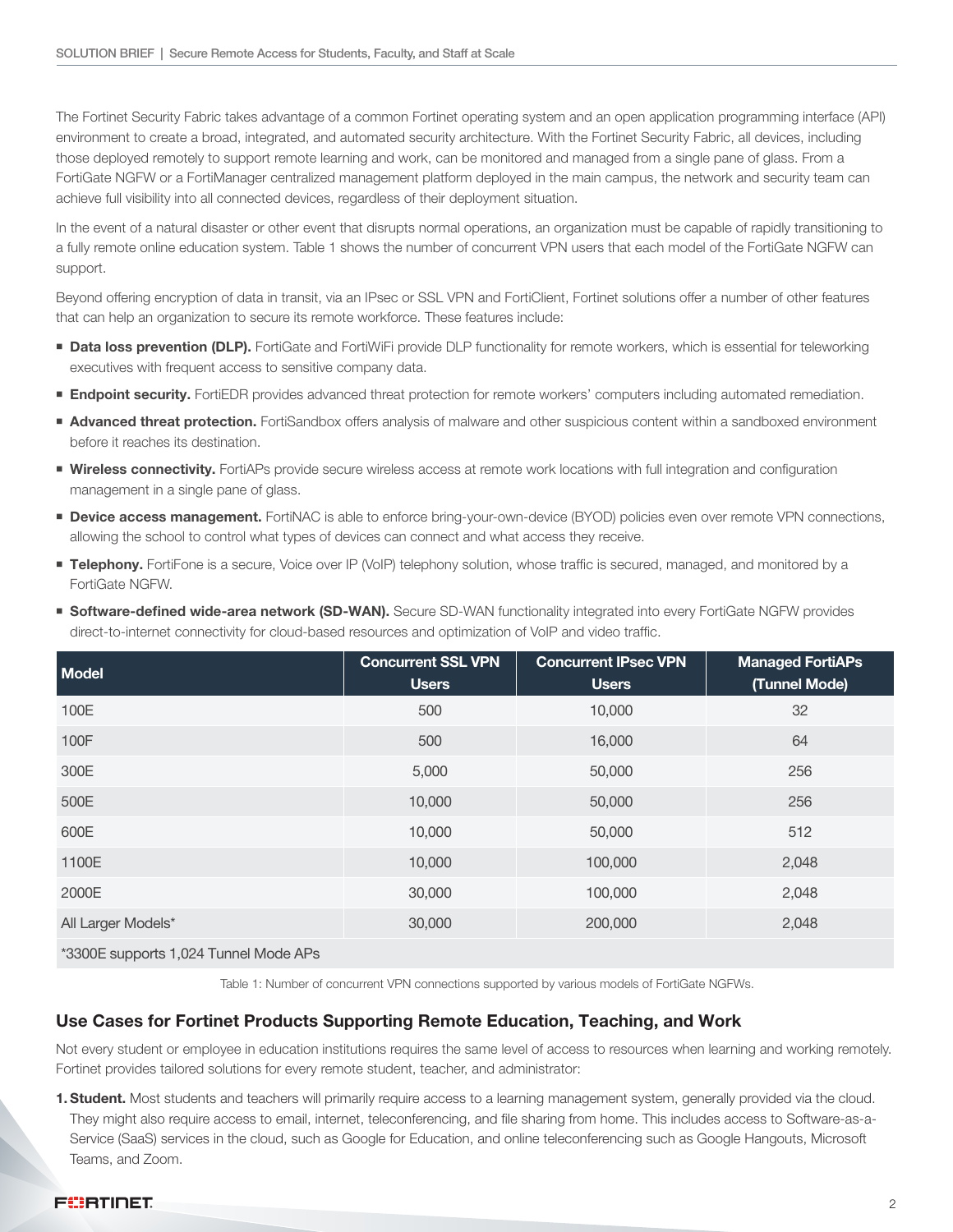The Fortinet Security Fabric takes advantage of a common Fortinet operating system and an open application programming interface (API) environment to create a broad, integrated, and automated security architecture. With the Fortinet Security Fabric, all devices, including those deployed remotely to support remote learning and work, can be monitored and managed from a single pane of glass. From a FortiGate NGFW or a FortiManager centralized management platform deployed in the main campus, the network and security team can achieve full visibility into all connected devices, regardless of their deployment situation.

In the event of a natural disaster or other event that disrupts normal operations, an organization must be capable of rapidly transitioning to a fully remote online education system. Table 1 shows the number of concurrent VPN users that each model of the FortiGate NGFW can support.

Beyond offering encryption of data in transit, via an IPsec or SSL VPN and FortiClient, Fortinet solutions offer a number of other features that can help an organization to secure its remote workforce. These features include:

- **Data loss prevention (DLP).** FortiGate and FortiWiFi provide DLP functionality for remote workers, which is essential for teleworking executives with frequent access to sensitive company data.
- **Endpoint security.** FortiEDR provides advanced threat protection for remote workers' computers including automated remediation.
- **Advanced threat protection.** FortiSandbox offers analysis of malware and other suspicious content within a sandboxed environment before it reaches its destination.
- **Wireless connectivity.** FortiAPs provide secure wireless access at remote work locations with full integration and configuration management in a single pane of glass.
- **Device access management.** FortiNAC is able to enforce bring-your-own-device (BYOD) policies even over remote VPN connections, allowing the school to control what types of devices can connect and what access they receive.
- **Telephony.** FortiFone is a secure, Voice over IP (VoIP) telephony solution, whose traffic is secured, managed, and monitored by a FortiGate NGFW.
- **Software-defined wide-area network (SD-WAN).** Secure SD-WAN functionality integrated into every FortiGate NGFW provides direct-to-internet connectivity for cloud-based resources and optimization of VoIP and video traffic.

| <b>Model</b>                                                                                                      | <b>Concurrent SSL VPN</b><br><b>Users</b> | <b>Concurrent IPsec VPN</b><br><b>Users</b> | <b>Managed FortiAPs</b><br>(Tunnel Mode) |
|-------------------------------------------------------------------------------------------------------------------|-------------------------------------------|---------------------------------------------|------------------------------------------|
| 100E                                                                                                              | 500                                       | 10,000                                      | 32                                       |
| 100F                                                                                                              | 500                                       | 16,000                                      | 64                                       |
| 300E                                                                                                              | 5,000                                     | 50,000                                      | 256                                      |
| 500E                                                                                                              | 10,000                                    | 50,000                                      | 256                                      |
| 600E                                                                                                              | 10,000                                    | 50,000                                      | 512                                      |
| 1100E                                                                                                             | 10,000                                    | 100,000                                     | 2,048                                    |
| 2000E                                                                                                             | 30,000                                    | 100,000                                     | 2,048                                    |
| All Larger Models*                                                                                                | 30,000                                    | 200,000                                     | 2,048                                    |
| $\star$ 0000 $\blacksquare$ $\vdots$ $\downarrow$ 001 $\blacksquare$ $\blacksquare$ $\blacksquare$ $\blacksquare$ |                                           |                                             |                                          |

\*3300E supports 1,024 Tunnel Mode APs

Table 1: Number of concurrent VPN connections supported by various models of FortiGate NGFWs.

#### Use Cases for Fortinet Products Supporting Remote Education, Teaching, and Work

Not every student or employee in education institutions requires the same level of access to resources when learning and working remotely. Fortinet provides tailored solutions for every remote student, teacher, and administrator:

1. Student. Most students and teachers will primarily require access to a learning management system, generally provided via the cloud. They might also require access to email, internet, teleconferencing, and file sharing from home. This includes access to Software-as-a-Service (SaaS) services in the cloud, such as Google for Education, and online teleconferencing such as Google Hangouts, Microsoft Teams, and Zoom.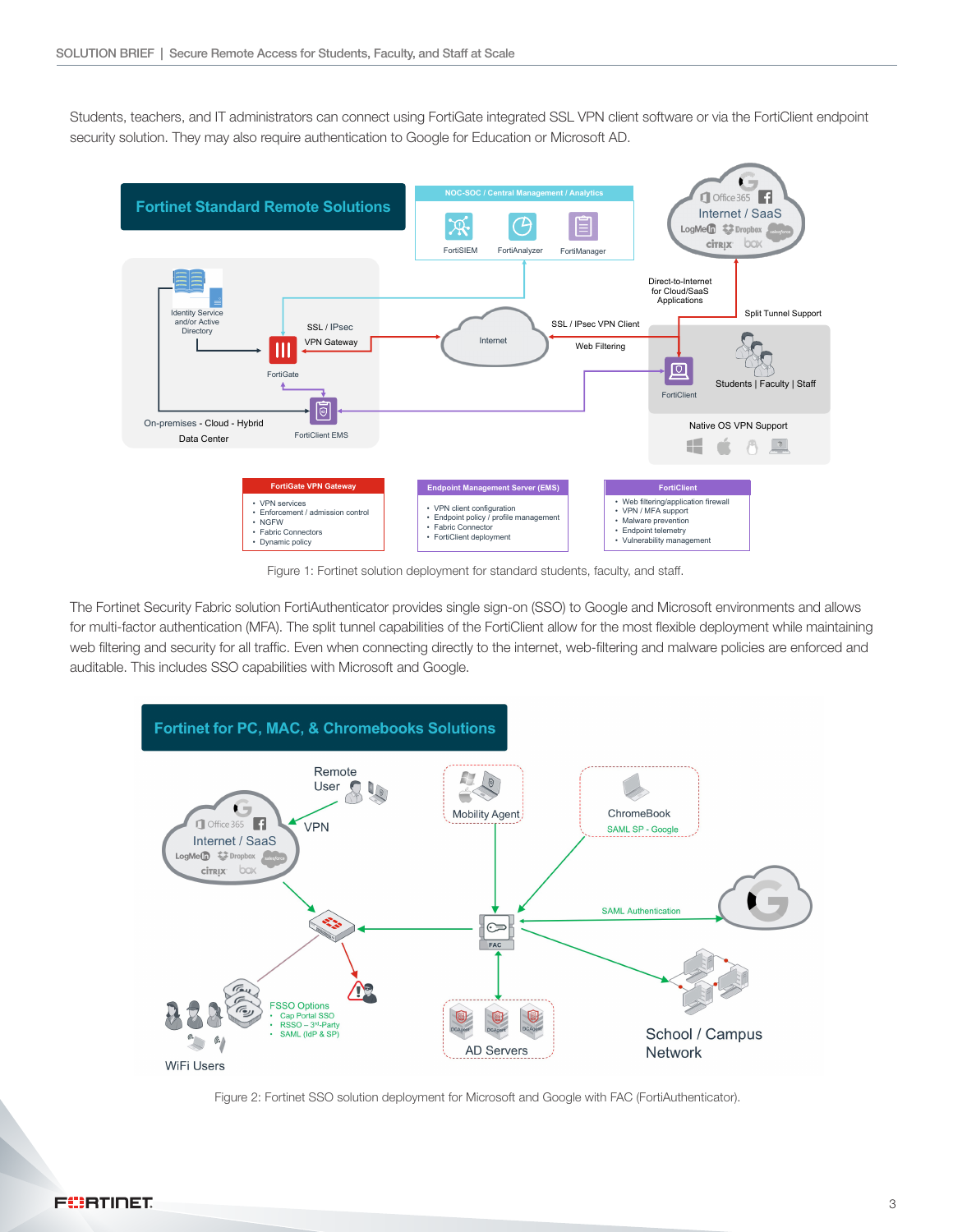Students, teachers, and IT administrators can connect using FortiGate integrated SSL VPN client software or via the FortiClient endpoint security solution. They may also require authentication to Google for Education or Microsoft AD.



Figure 1: Fortinet solution deployment for standard students, faculty, and staff.

The Fortinet Security Fabric solution FortiAuthenticator provides single sign-on (SSO) to Google and Microsoft environments and allows for multi-factor authentication (MFA). The split tunnel capabilities of the FortiClient allow for the most flexible deployment while maintaining web filtering and security for all traffic. Even when connecting directly to the internet, web-filtering and malware policies are enforced and auditable. This includes SSO capabilities with Microsoft and Google.



Figure 2: Fortinet SSO solution deployment for Microsoft and Google with FAC (FortiAuthenticator).

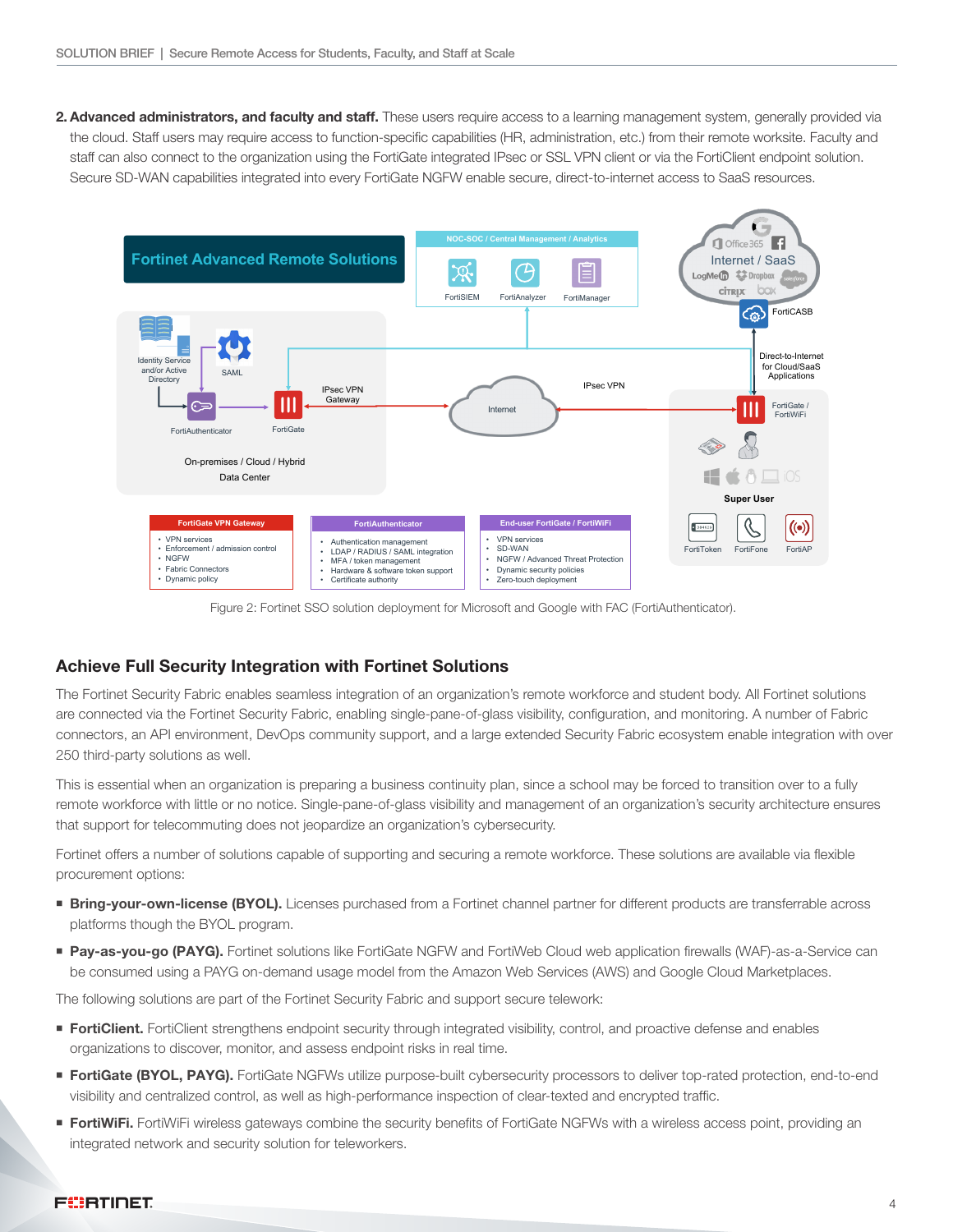2. Advanced administrators, and faculty and staff. These users require access to a learning management system, generally provided via the cloud. Staff users may require access to function-specific capabilities (HR, administration, etc.) from their remote worksite. Faculty and staff can also connect to the organization using the FortiGate integrated IPsec or SSL VPN client or via the FortiClient endpoint solution. Secure SD-WAN capabilities integrated into every FortiGate NGFW enable secure, direct-to-internet access to SaaS resources.



Figure 2: Fortinet SSO solution deployment for Microsoft and Google with FAC (FortiAuthenticator).

# Achieve Full Security Integration with Fortinet Solutions

The Fortinet Security Fabric enables seamless integration of an organization's remote workforce and student body. All Fortinet solutions are connected via the Fortinet Security Fabric, enabling single-pane-of-glass visibility, configuration, and monitoring. A number of Fabric connectors, an API environment, DevOps community support, and a large extended Security Fabric ecosystem enable integration with over 250 third-party solutions as well.

This is essential when an organization is preparing a business continuity plan, since a school may be forced to transition over to a fully remote workforce with little or no notice. Single-pane-of-glass visibility and management of an organization's security architecture ensures that support for telecommuting does not jeopardize an organization's cybersecurity.

Fortinet offers a number of solutions capable of supporting and securing a remote workforce. These solutions are available via flexible procurement options:

- **Fing-your-own-license (BYOL).** Licenses purchased from a Fortinet channel partner for different products are transferrable across platforms though the BYOL program.
- **Pay-as-you-go (PAYG).** Fortinet solutions like FortiGate NGFW and FortiWeb Cloud web application firewalls (WAF)-as-a-Service can be consumed using a PAYG on-demand usage model from the Amazon Web Services (AWS) and Google Cloud Marketplaces.

The following solutions are part of the Fortinet Security Fabric and support secure telework:

- **FortiClient.** FortiClient strengthens endpoint security through integrated visibility, control, and proactive defense and enables organizations to discover, monitor, and assess endpoint risks in real time.
- **FortiGate (BYOL, PAYG).** FortiGate NGFWs utilize purpose-built cybersecurity processors to deliver top-rated protection, end-to-end visibility and centralized control, as well as high-performance inspection of clear-texted and encrypted traffic.
- **FortiWiFi.** FortiWiFi wireless gateways combine the security benefits of FortiGate NGFWs with a wireless access point, providing an integrated network and security solution for teleworkers.

#### **FÜRTIDET**